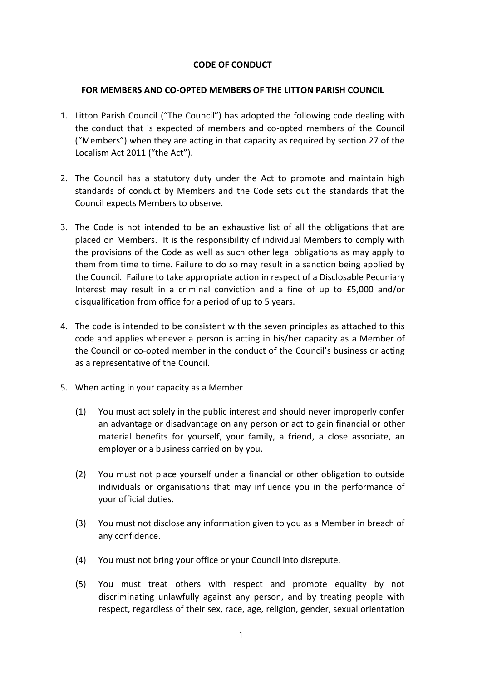# **CODE OF CONDUCT**

## **FOR MEMBERS AND CO-OPTED MEMBERS OF THE LITTON PARISH COUNCIL**

- 1. Litton Parish Council ("The Council") has adopted the following code dealing with the conduct that is expected of members and co-opted members of the Council ("Members") when they are acting in that capacity as required by section 27 of the Localism Act 2011 ("the Act").
- 2. The Council has a statutory duty under the Act to promote and maintain high standards of conduct by Members and the Code sets out the standards that the Council expects Members to observe.
- 3. The Code is not intended to be an exhaustive list of all the obligations that are placed on Members. It is the responsibility of individual Members to comply with the provisions of the Code as well as such other legal obligations as may apply to them from time to time. Failure to do so may result in a sanction being applied by the Council. Failure to take appropriate action in respect of a Disclosable Pecuniary Interest may result in a criminal conviction and a fine of up to £5,000 and/or disqualification from office for a period of up to 5 years.
- 4. The code is intended to be consistent with the seven principles as attached to this code and applies whenever a person is acting in his/her capacity as a Member of the Council or co-opted member in the conduct of the Council's business or acting as a representative of the Council.
- 5. When acting in your capacity as a Member
	- (1) You must act solely in the public interest and should never improperly confer an advantage or disadvantage on any person or act to gain financial or other material benefits for yourself, your family, a friend, a close associate, an employer or a business carried on by you.
	- (2) You must not place yourself under a financial or other obligation to outside individuals or organisations that may influence you in the performance of your official duties.
	- (3) You must not disclose any information given to you as a Member in breach of any confidence.
	- (4) You must not bring your office or your Council into disrepute.
	- (5) You must treat others with respect and promote equality by not discriminating unlawfully against any person, and by treating people with respect, regardless of their sex, race, age, religion, gender, sexual orientation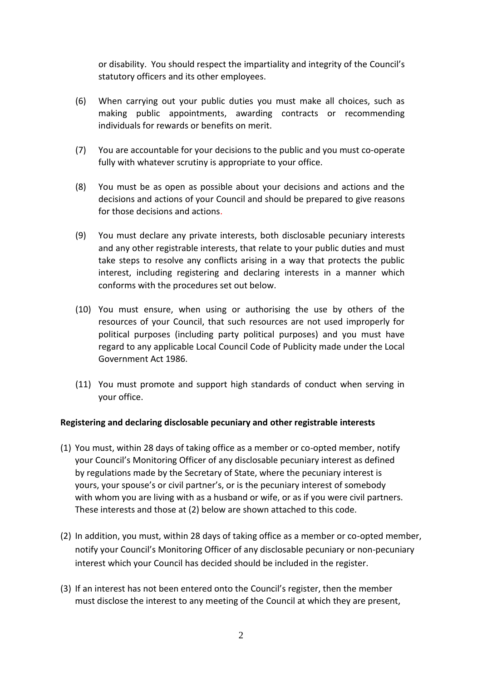or disability. You should respect the impartiality and integrity of the Council's statutory officers and its other employees.

- (6) When carrying out your public duties you must make all choices, such as making public appointments, awarding contracts or recommending individuals for rewards or benefits on merit.
- (7) You are accountable for your decisions to the public and you must co-operate fully with whatever scrutiny is appropriate to your office.
- (8) You must be as open as possible about your decisions and actions and the decisions and actions of your Council and should be prepared to give reasons for those decisions and actions.
- (9) You must declare any private interests, both disclosable pecuniary interests and any other registrable interests, that relate to your public duties and must take steps to resolve any conflicts arising in a way that protects the public interest, including registering and declaring interests in a manner which conforms with the procedures set out below.
- (10) You must ensure, when using or authorising the use by others of the resources of your Council, that such resources are not used improperly for political purposes (including party political purposes) and you must have regard to any applicable Local Council Code of Publicity made under the Local Government Act 1986.
- (11) You must promote and support high standards of conduct when serving in your office.

# **Registering and declaring disclosable pecuniary and other registrable interests**

- (1) You must, within 28 days of taking office as a member or co-opted member, notify your Council's Monitoring Officer of any disclosable pecuniary interest as defined by regulations made by the Secretary of State, where the pecuniary interest is yours, your spouse's or civil partner's, or is the pecuniary interest of somebody with whom you are living with as a husband or wife, or as if you were civil partners. These interests and those at (2) below are shown attached to this code.
- (2) In addition, you must, within 28 days of taking office as a member or co-opted member, notify your Council's Monitoring Officer of any disclosable pecuniary or non-pecuniary interest which your Council has decided should be included in the register.
- (3) If an interest has not been entered onto the Council's register, then the member must disclose the interest to any meeting of the Council at which they are present,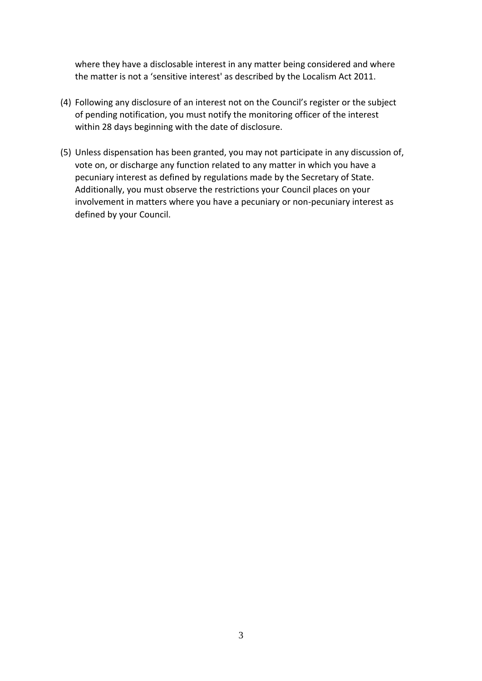where they have a disclosable interest in any matter being considered and where the matter is not a 'sensitive interest' as described by the Localism Act 2011.

- (4) Following any disclosure of an interest not on the Council's register or the subject of pending notification, you must notify the monitoring officer of the interest within 28 days beginning with the date of disclosure.
- (5) Unless dispensation has been granted, you may not participate in any discussion of, vote on, or discharge any function related to any matter in which you have a pecuniary interest as defined by regulations made by the Secretary of State. Additionally, you must observe the restrictions your Council places on your involvement in matters where you have a pecuniary or non-pecuniary interest as defined by your Council.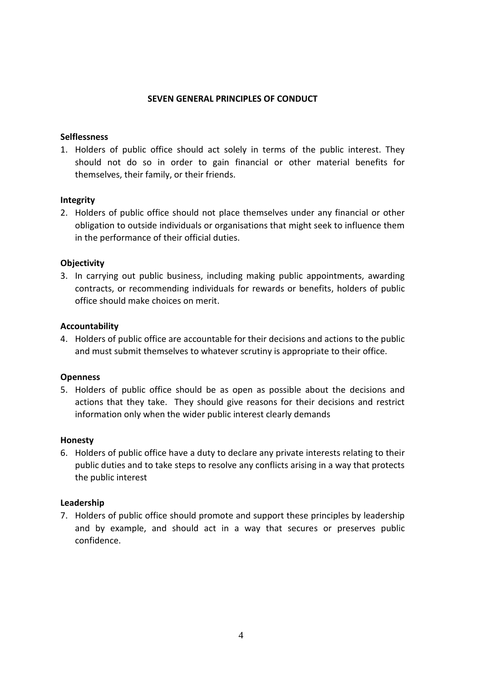### **SEVEN GENERAL PRINCIPLES OF CONDUCT**

### **Selflessness**

1. Holders of public office should act solely in terms of the public interest. They should not do so in order to gain financial or other material benefits for themselves, their family, or their friends.

#### **Integrity**

2. Holders of public office should not place themselves under any financial or other obligation to outside individuals or organisations that might seek to influence them in the performance of their official duties.

## **Objectivity**

3. In carrying out public business, including making public appointments, awarding contracts, or recommending individuals for rewards or benefits, holders of public office should make choices on merit.

#### **Accountability**

4. Holders of public office are accountable for their decisions and actions to the public and must submit themselves to whatever scrutiny is appropriate to their office.

## **Openness**

5. Holders of public office should be as open as possible about the decisions and actions that they take. They should give reasons for their decisions and restrict information only when the wider public interest clearly demands

#### **Honesty**

6. Holders of public office have a duty to declare any private interests relating to their public duties and to take steps to resolve any conflicts arising in a way that protects the public interest

## **Leadership**

7. Holders of public office should promote and support these principles by leadership and by example, and should act in a way that secures or preserves public confidence.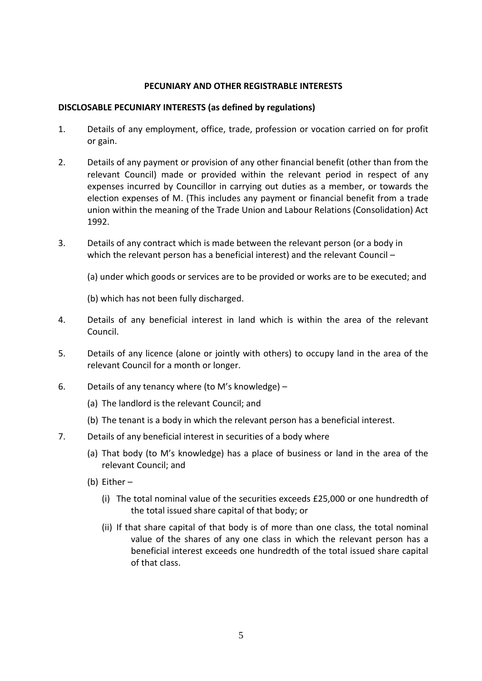## **PECUNIARY AND OTHER REGISTRABLE INTERESTS**

### **DISCLOSABLE PECUNIARY INTERESTS (as defined by regulations)**

- 1. Details of any employment, office, trade, profession or vocation carried on for profit or gain.
- 2. Details of any payment or provision of any other financial benefit (other than from the relevant Council) made or provided within the relevant period in respect of any expenses incurred by Councillor in carrying out duties as a member, or towards the election expenses of M. (This includes any payment or financial benefit from a trade union within the meaning of the Trade Union and Labour Relations (Consolidation) Act 1992.
- 3. Details of any contract which is made between the relevant person (or a body in which the relevant person has a beneficial interest) and the relevant Council –
	- (a) under which goods or services are to be provided or works are to be executed; and
	- (b) which has not been fully discharged.
- 4. Details of any beneficial interest in land which is within the area of the relevant Council.
- 5. Details of any licence (alone or jointly with others) to occupy land in the area of the relevant Council for a month or longer.
- 6. Details of any tenancy where (to M's knowledge)
	- (a) The landlord is the relevant Council; and
	- (b) The tenant is a body in which the relevant person has a beneficial interest.
- 7. Details of any beneficial interest in securities of a body where
	- (a) That body (to M's knowledge) has a place of business or land in the area of the relevant Council; and
	- (b) Either
		- (i) The total nominal value of the securities exceeds £25,000 or one hundredth of the total issued share capital of that body; or
		- (ii) If that share capital of that body is of more than one class, the total nominal value of the shares of any one class in which the relevant person has a beneficial interest exceeds one hundredth of the total issued share capital of that class.